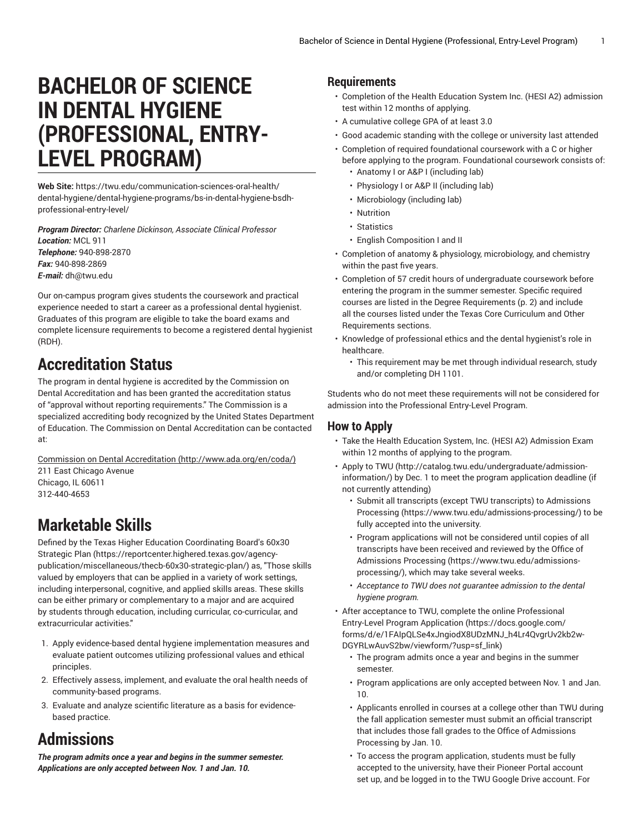# **BACHELOR OF SCIENCE IN DENTAL HYGIENE (PROFESSIONAL, ENTRY-LEVEL PROGRAM)**

**Web Site:** https://twu.edu/communication-sciences-oral-health/ dental-hygiene/dental-hygiene-programs/bs-in-dental-hygiene-bsdhprofessional-entry-level/

*Program Director: Charlene Dickinson, Associate Clinical Professor Location:* MCL 911 *Telephone:* 940-898-2870 *Fax:* 940-898-2869 *E-mail:* [dh@twu.edu](mailto:dh@twu.edu)

Our on-campus program gives students the coursework and practical experience needed to start a career as a professional dental hygienist. Graduates of this program are eligible to take the board exams and complete licensure requirements to become a registered dental hygienist (RDH).

# **Accreditation Status**

The program in dental hygiene is accredited by the Commission on Dental Accreditation and has been granted the accreditation status of "approval without reporting requirements." The Commission is a specialized accrediting body recognized by the United States Department of Education. The Commission on Dental Accreditation can be contacted at:

Commission on Dental [Accreditation](http://www.ada.org/en/coda/) [\(http://www.ada.org/en/coda/\)](http://www.ada.org/en/coda/) 211 East Chicago Avenue Chicago, IL 60611 312-440-4653

## **Marketable Skills**

Defined by the Texas Higher Education [Coordinating](https://reportcenter.highered.texas.gov/agency-publication/miscellaneous/thecb-60x30-strategic-plan/) Board's 60x30 [Strategic Plan \(https://reportcenter.highered.texas.gov/agency](https://reportcenter.highered.texas.gov/agency-publication/miscellaneous/thecb-60x30-strategic-plan/)[publication/miscellaneous/thecb-60x30-strategic-plan/](https://reportcenter.highered.texas.gov/agency-publication/miscellaneous/thecb-60x30-strategic-plan/)) as, "Those skills valued by employers that can be applied in a variety of work settings, including interpersonal, cognitive, and applied skills areas. These skills can be either primary or complementary to a major and are acquired by students through education, including curricular, co-curricular, and extracurricular activities."

- 1. Apply evidence-based dental hygiene implementation measures and evaluate patient outcomes utilizing professional values and ethical principles.
- 2. Effectively assess, implement, and evaluate the oral health needs of community-based programs.
- 3. Evaluate and analyze scientific literature as a basis for evidencebased practice.

# **Admissions**

*The program admits once a year and begins in the summer semester. Applications are only accepted between Nov. 1 and Jan. 10.*

### **Requirements**

- Completion of the Health Education System Inc. (HESI A2) admission test within 12 months of applying.
- A cumulative college GPA of at least 3.0
- Good academic standing with the college or university last attended
- Completion of required foundational coursework with a C or higher
	- before applying to the program. Foundational coursework consists of: • Anatomy I or A&P I (including lab)
		- Physiology I or A&P II (including lab)
		- Microbiology (including lab)
		- Nutrition
		- Statistics
	- English Composition I and II
- Completion of anatomy & physiology, microbiology, and chemistry within the past five years.
- Completion of 57 credit hours of undergraduate coursework before entering the program in the summer semester. Specific required courses are listed in the Degree [Requirements](#page-1-0) ([p. 2](#page-1-0)) and include all the courses listed under the Texas Core Curriculum and Other Requirements sections.
- Knowledge of professional ethics and the dental hygienist's role in healthcare.
	- This requirement may be met through individual research, study and/or completing DH 1101.

Students who do not meet these requirements will not be considered for admission into the Professional Entry-Level Program.

### **How to Apply**

- Take the Health Education System, Inc. (HESI A2) Admission Exam within 12 months of applying to the program.
- [Apply](http://catalog.twu.edu/undergraduate/admission-information/) to TWU ([http://catalog.twu.edu/undergraduate/admission](http://catalog.twu.edu/undergraduate/admission-information/)[information/\)](http://catalog.twu.edu/undergraduate/admission-information/) by Dec. 1 to meet the program application deadline (if not currently attending)
	- Submit all transcripts (except TWU transcripts) to [Admissions](https://www.twu.edu/admissions-processing/) [Processing \(https://www.twu.edu/admissions-processing/](https://www.twu.edu/admissions-processing/)) to be fully accepted into the university.
	- Program applications will not be considered until copies of all transcripts have been received and reviewed by the [Office of](https://www.twu.edu/admissions-processing/) [Admissions](https://www.twu.edu/admissions-processing/) Processing ([https://www.twu.edu/admissions](https://www.twu.edu/admissions-processing/)[processing/](https://www.twu.edu/admissions-processing/)), which may take several weeks.
	- *Acceptance to TWU does not guarantee admission to the dental hygiene program.*
- After acceptance to TWU, complete the online [Professional](https://docs.google.com/forms/d/e/1FAIpQLSe4xJngiodX8UDzMNJ_h4Lr4QvgrUv2kb2w-DGYRLwAuvS2bw/viewform/?usp=sf_link) Entry-Level Program [Application \(https://docs.google.com/](https://docs.google.com/forms/d/e/1FAIpQLSe4xJngiodX8UDzMNJ_h4Lr4QvgrUv2kb2w-DGYRLwAuvS2bw/viewform/?usp=sf_link) [forms/d/e/1FAIpQLSe4xJngiodX8UDzMNJ\\_h4Lr4QvgrUv2kb2w-](https://docs.google.com/forms/d/e/1FAIpQLSe4xJngiodX8UDzMNJ_h4Lr4QvgrUv2kb2w-DGYRLwAuvS2bw/viewform/?usp=sf_link)[DGYRLwAuvS2bw/viewform/?usp=sf\\_link](https://docs.google.com/forms/d/e/1FAIpQLSe4xJngiodX8UDzMNJ_h4Lr4QvgrUv2kb2w-DGYRLwAuvS2bw/viewform/?usp=sf_link))
	- The program admits once a year and begins in the summer semester.
	- Program applications are only accepted between Nov. 1 and Jan. 10.
	- Applicants enrolled in courses at a college other than TWU during the fall application semester must submit an official transcript that includes those fall grades to the Office of Admissions Processing by Jan. 10.
	- To access the program application, students must be fully accepted to the university, have their Pioneer Portal account set up, and be logged in to the TWU Google Drive account. For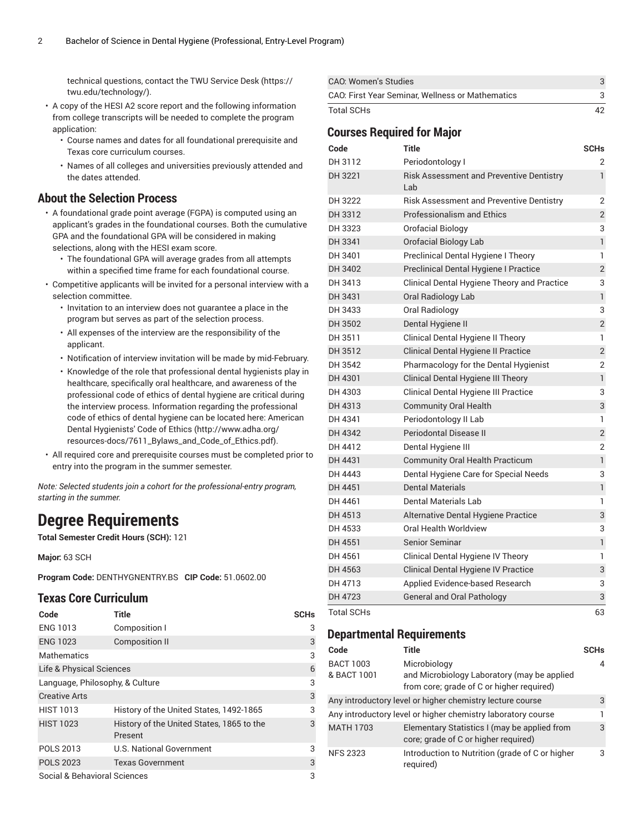technical questions, contact the TWU [Service](https://twu.edu/technology/) Desk [\(https://](https://twu.edu/technology/) [twu.edu/technology/](https://twu.edu/technology/)).

- A copy of the HESI A2 score report and the following information from college transcripts will be needed to complete the program application:
	- Course names and dates for all foundational prerequisite and Texas core curriculum courses.
	- Names of all colleges and universities previously attended and the dates attended.

#### **About the Selection Process**

- A foundational grade point average (FGPA) is computed using an applicant's grades in the foundational courses. Both the cumulative GPA and the foundational GPA will be considered in making selections, along with the HESI exam score.
	- The foundational GPA will average grades from all attempts within a specified time frame for each foundational course.
- Competitive applicants will be invited for a personal interview with a selection committee.
	- Invitation to an interview does not guarantee a place in the program but serves as part of the selection process.
	- All expenses of the interview are the responsibility of the applicant.
	- Notification of interview invitation will be made by mid-February.
	- Knowledge of the role that professional dental hygienists play in healthcare, specifically oral healthcare, and awareness of the professional code of ethics of dental hygiene are critical during the interview process. Information regarding the professional code of ethics of dental hygiene can be located here: [American](http://www.adha.org/resources-docs/7611_Bylaws_and_Code_of_Ethics.pdf) Dental [Hygienists'](http://www.adha.org/resources-docs/7611_Bylaws_and_Code_of_Ethics.pdf) Code of Ethics [\(http://www.adha.org/](http://www.adha.org/resources-docs/7611_Bylaws_and_Code_of_Ethics.pdf) [resources-docs/7611\\_Bylaws\\_and\\_Code\\_of\\_Ethics.pdf\)](http://www.adha.org/resources-docs/7611_Bylaws_and_Code_of_Ethics.pdf).
- All required core and prerequisite courses must be completed prior to entry into the program in the summer semester.

*Note: Selected students join a cohort for the professional-entry program, starting in the summer.*

### <span id="page-1-0"></span>**Degree Requirements**

**Total Semester Credit Hours (SCH):** 121

**Major:** 63 SCH

**Program Code:** DENTHYGNENTRY.BS **CIP Code:** 51.0602.00

### **Texas Core Curriculum**

| Code                            | <b>Title</b>                                         | <b>SCHs</b> |
|---------------------------------|------------------------------------------------------|-------------|
| <b>ENG 1013</b>                 | Composition I                                        | 3           |
| <b>ENG 1023</b>                 | <b>Composition II</b>                                | 3           |
| <b>Mathematics</b>              |                                                      | 3           |
| Life & Physical Sciences        |                                                      |             |
| Language, Philosophy, & Culture |                                                      |             |
| <b>Creative Arts</b>            |                                                      | 3           |
| <b>HIST 1013</b>                | History of the United States, 1492-1865              | 3           |
| <b>HIST 1023</b>                | History of the United States, 1865 to the<br>Present | 3           |
| <b>POLS 2013</b>                | <b>U.S. National Government</b>                      | 3           |
| <b>POLS 2023</b>                | <b>Texas Government</b>                              | 3           |
| Social & Behavioral Sciences    |                                                      |             |

| CAO: Women's Studies                             |  |
|--------------------------------------------------|--|
| CAO: First Year Seminar, Wellness or Mathematics |  |
| Total SCHs                                       |  |

### **Courses Required for Major**

| Code              | <b>Title</b>                                           | <b>SCHs</b>    |
|-------------------|--------------------------------------------------------|----------------|
| DH 3112           | Periodontology I                                       | 2              |
| DH 3221           | <b>Risk Assessment and Preventive Dentistry</b><br>Lab | $\mathbf{1}$   |
| DH 3222           | <b>Risk Assessment and Preventive Dentistry</b>        | $\overline{2}$ |
| DH 3312           | <b>Professionalism and Ethics</b>                      | $\overline{2}$ |
| DH 3323           | Orofacial Biology                                      | 3              |
| DH 3341           | Orofacial Biology Lab                                  | $\mathbf{1}$   |
| DH 3401           | Preclinical Dental Hygiene I Theory                    | 1              |
| DH 3402           | Preclinical Dental Hygiene I Practice                  | $\overline{2}$ |
| DH 3413           | Clinical Dental Hygiene Theory and Practice            | 3              |
| DH 3431           | <b>Oral Radiology Lab</b>                              | $\mathbf{1}$   |
| DH 3433           | Oral Radiology                                         | 3              |
| DH 3502           | Dental Hygiene II                                      | $\overline{2}$ |
| DH 3511           | Clinical Dental Hygiene II Theory                      | $\mathbf{1}$   |
| DH 3512           | Clinical Dental Hygiene II Practice                    | $\overline{2}$ |
| DH 3542           | Pharmacology for the Dental Hygienist                  | 2              |
| DH 4301           | Clinical Dental Hygiene III Theory                     | $\mathbf{1}$   |
| DH 4303           | Clinical Dental Hygiene III Practice                   | 3              |
| DH 4313           | <b>Community Oral Health</b>                           | 3              |
| DH 4341           | Periodontology II Lab                                  | 1              |
| DH 4342           | Periodontal Disease II                                 | $\overline{2}$ |
| DH 4412           | Dental Hygiene III                                     | $\overline{2}$ |
| DH 4431           | <b>Community Oral Health Practicum</b>                 | $\mathbf{1}$   |
| DH 4443           | Dental Hygiene Care for Special Needs                  | 3              |
| DH 4451           | <b>Dental Materials</b>                                | $\mathbf{1}$   |
| DH 4461           | Dental Materials Lab                                   | 1              |
| DH 4513           | Alternative Dental Hygiene Practice                    | 3              |
| DH 4533           | Oral Health Worldview                                  | 3              |
| DH 4551           | Senior Seminar                                         | $\mathbf{1}$   |
| DH 4561           | Clinical Dental Hygiene IV Theory                      | 1              |
| DH 4563           | Clinical Dental Hygiene IV Practice                    | 3              |
| DH 4713           | Applied Evidence-based Research                        | 3              |
| DH 4723           | <b>General and Oral Pathology</b>                      | 3              |
| <b>Total SCHs</b> |                                                        | 63             |

#### **Departmental Requirements**

| Code                     | Title                                                                                                    | <b>SCHs</b> |
|--------------------------|----------------------------------------------------------------------------------------------------------|-------------|
| BACT 1003<br>& BACT 1001 | Microbiology<br>and Microbiology Laboratory (may be applied<br>from core; grade of C or higher required) | 4           |
|                          | Any introductory level or higher chemistry lecture course                                                | 3           |
|                          | Any introductory level or higher chemistry laboratory course                                             |             |
| <b>MATH 1703</b>         | Elementary Statistics I (may be applied from<br>core; grade of C or higher required)                     | 3           |
| <b>NFS 2323</b>          | Introduction to Nutrition (grade of C or higher<br>required)                                             | 3           |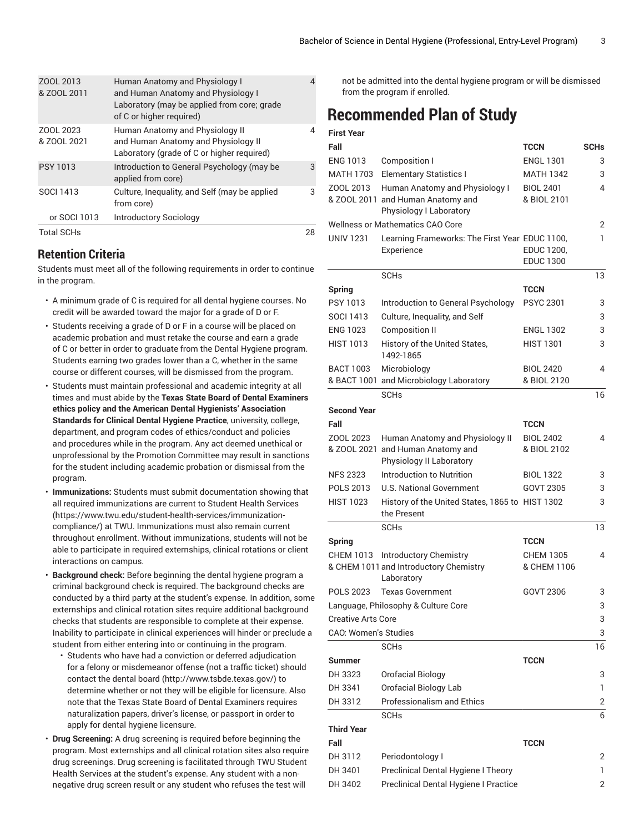| <b>Total SCHs</b>        |                                                                                                                                                        | 28 |
|--------------------------|--------------------------------------------------------------------------------------------------------------------------------------------------------|----|
| or SOCI 1013             | <b>Introductory Sociology</b>                                                                                                                          |    |
| <b>SOCI 1413</b>         | Culture, Inequality, and Self (may be applied<br>from core)                                                                                            | 3  |
| <b>PSY 1013</b>          | Introduction to General Psychology (may be<br>applied from core)                                                                                       | 3  |
| ZOOL 2023<br>& ZOOL 2021 | Human Anatomy and Physiology II<br>and Human Anatomy and Physiology II<br>Laboratory (grade of C or higher required)                                   | 4  |
| ZOOL 2013<br>& ZOOL 2011 | <b>Human Anatomy and Physiology I</b><br>and Human Anatomy and Physiology I<br>Laboratory (may be applied from core; grade<br>of C or higher required) | 4  |

### **Retention Criteria**

Students must meet all of the following requirements in order to continue in the program.

- A minimum grade of C is required for all dental hygiene courses. No credit will be awarded toward the major for a grade of D or F.
- Students receiving a grade of D or F in a course will be placed on academic probation and must retake the course and earn a grade of C or better in order to graduate from the Dental Hygiene program. Students earning two grades lower than a C, whether in the same course or different courses, will be dismissed from the program.
- Students must maintain professional and academic integrity at all times and must abide by the **Texas State Board of Dental Examiners ethics policy and the American Dental Hygienists' Association Standards for Clinical Dental Hygiene Practice**, university, college, department, and program codes of ethics/conduct and policies and procedures while in the program. Any act deemed unethical or unprofessional by the Promotion Committee may result in sanctions for the student including academic probation or dismissal from the program.
- **Immunizations:** Students must submit documentation showing that all required immunizations are current to Student Health [Services](https://www.twu.edu/student-health-services/immunization-compliance/) ([https://www.twu.edu/student-health-services/immunization](https://www.twu.edu/student-health-services/immunization-compliance/)[compliance/](https://www.twu.edu/student-health-services/immunization-compliance/)) at TWU. Immunizations must also remain current throughout enrollment. Without immunizations, students will not be able to participate in required externships, clinical rotations or client interactions on campus.
- **Background check:** Before beginning the dental hygiene program a criminal background check is required. The background checks are conducted by a third party at the student's expense. In addition, some externships and clinical rotation sites require additional background checks that students are responsible to complete at their expense. Inability to participate in clinical experiences will hinder or preclude a student from either entering into or continuing in the program.
	- Students who have had a conviction or deferred adjudication for a felony or misdemeanor offense (not a traffic ticket) should contact the [dental](http://www.tsbde.texas.gov/) board (<http://www.tsbde.texas.gov/>) to determine whether or not they will be eligible for licensure. Also note that the Texas State Board of Dental Examiners requires naturalization papers, driver's license, or passport in order to apply for dental hygiene licensure.
- **Drug Screening:** A drug screening is required before beginning the program. Most externships and all clinical rotation sites also require drug screenings. Drug screening is facilitated through TWU Student Health Services at the student's expense. Any student with a nonnegative drug screen result or any student who refuses the test will

not be admitted into the dental hygiene program or will be dismissed from the program if enrolled.

### **Recommended Plan of Study**

| <b>First Year</b>                   |                                                                |                                |             |
|-------------------------------------|----------------------------------------------------------------|--------------------------------|-------------|
| Fall                                |                                                                | <b>TCCN</b>                    | <b>SCHs</b> |
| <b>ENG 1013</b>                     | <b>Composition I</b>                                           | <b>ENGL 1301</b>               | 3           |
| <b>MATH 1703</b>                    | <b>Elementary Statistics I</b>                                 | MATH 1342                      | 3           |
| ZOOL 2013                           | Human Anatomy and Physiology I                                 | <b>BIOL 2401</b>               | 4           |
|                                     | & ZOOL 2011 and Human Anatomy and                              | & BIOL 2101                    |             |
|                                     | Physiology I Laboratory                                        |                                |             |
|                                     | <b>Wellness or Mathematics CAO Core</b>                        |                                | 2           |
| <b>UNIV 1231</b>                    | Learning Frameworks: The First Year EDUC 1100,                 |                                | 1           |
|                                     | Experience                                                     | EDUC 1200,<br><b>EDUC 1300</b> |             |
|                                     | <b>SCHs</b>                                                    |                                | 13          |
| <b>Spring</b>                       |                                                                | <b>TCCN</b>                    |             |
| PSY 1013                            | Introduction to General Psychology                             | <b>PSYC 2301</b>               | 3           |
| <b>SOCI 1413</b>                    | Culture, Inequality, and Self                                  |                                | 3           |
| <b>ENG 1023</b>                     | <b>Composition II</b>                                          | <b>ENGL 1302</b>               | 3           |
| <b>HIST 1013</b>                    | History of the United States,                                  | <b>HIST 1301</b>               | 3           |
|                                     | 1492-1865                                                      |                                |             |
| <b>BACT 1003</b>                    | Microbiology                                                   | <b>BIOL 2420</b>               | 4           |
|                                     | & BACT 1001 and Microbiology Laboratory                        | & BIOL 2120                    |             |
|                                     | <b>SCH<sub>s</sub></b>                                         |                                | 16          |
| <b>Second Year</b>                  |                                                                |                                |             |
| Fall                                |                                                                | <b>TCCN</b>                    |             |
| ZOOL 2023                           | Human Anatomy and Physiology II                                | <b>BIOL 2402</b>               | 4           |
|                                     | & ZOOL 2021 and Human Anatomy and                              | & BIOL 2102                    |             |
|                                     | Physiology II Laboratory                                       |                                |             |
| <b>NFS 2323</b>                     | Introduction to Nutrition                                      | <b>BIOL 1322</b>               | 3           |
| POLS 2013                           | <b>U.S. National Government</b>                                | GOVT 2305                      | 3           |
| <b>HIST 1023</b>                    | History of the United States, 1865 to HIST 1302<br>the Present |                                | 3           |
|                                     | <b>SCHs</b>                                                    |                                | 13          |
| <b>Spring</b>                       |                                                                | <b>TCCN</b>                    |             |
| <b>CHEM 1013</b>                    | <b>Introductory Chemistry</b>                                  | <b>CHEM 1305</b>               | 4           |
|                                     | & CHEM 1011 and Introductory Chemistry                         | & CHEM 1106                    |             |
|                                     | Laboratory                                                     |                                |             |
| <b>POLS 2023</b>                    | <b>Texas Government</b>                                        | GOVT 2306                      | 3           |
| Language, Philosophy & Culture Core |                                                                | 3                              |             |
| <b>Creative Arts Core</b>           |                                                                |                                | 3           |
| CAO: Women's Studies                |                                                                |                                | 3           |
|                                     | <b>SCHs</b>                                                    |                                | 16          |
| <b>Summer</b>                       |                                                                | <b>TCCN</b>                    |             |
| DH 3323                             | Orofacial Biology                                              |                                | 3           |
| DH 3341                             | Orofacial Biology Lab                                          |                                | 1           |
| DH 3312                             | <b>Professionalism and Ethics</b>                              |                                | 2           |
|                                     | <b>SCHs</b>                                                    |                                | 6           |
| <b>Third Year</b>                   |                                                                |                                |             |
| Fall                                |                                                                | <b>TCCN</b>                    |             |
| DH 3112                             | Periodontology I                                               |                                | 2           |
| DH 3401                             | Preclinical Dental Hygiene I Theory                            |                                | 1           |
| DH 3402                             | Preclinical Dental Hygiene I Practice                          |                                | 2           |